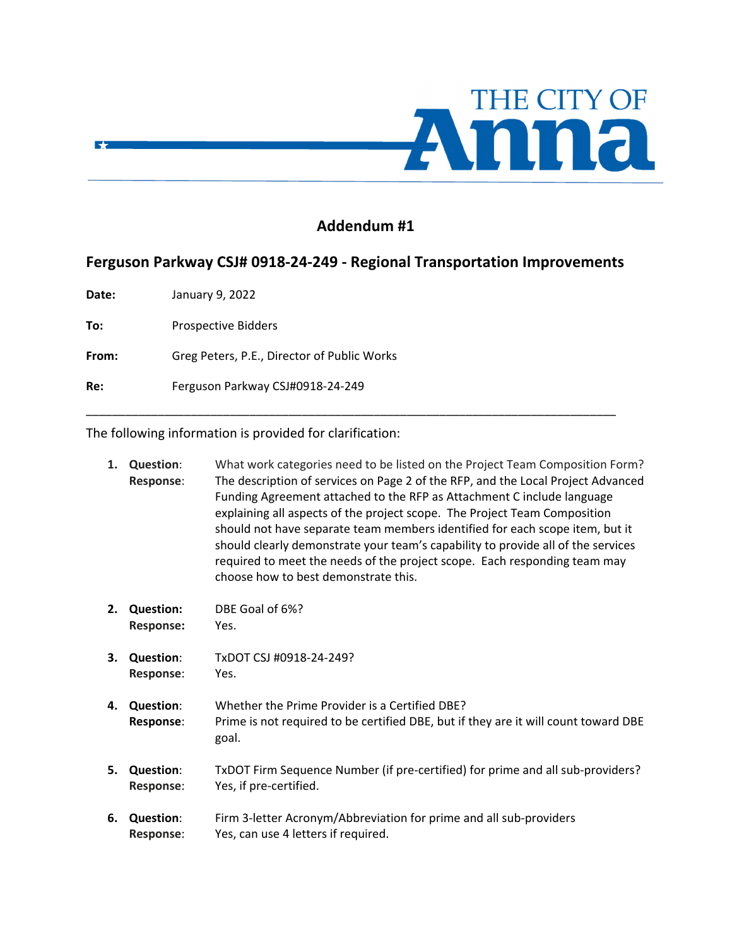

## **Addendum #1**

## **Ferguson Parkway CSJ# 0918‐24‐249 ‐ Regional Transportation Improvements**

\_\_\_\_\_\_\_\_\_\_\_\_\_\_\_\_\_\_\_\_\_\_\_\_\_\_\_\_\_\_\_\_\_\_\_\_\_\_\_\_\_\_\_\_\_\_\_\_\_\_\_\_\_\_\_\_\_\_\_\_\_\_\_\_\_\_\_\_\_\_\_\_\_\_\_\_\_\_\_\_\_

**Date:**  January 9, 2022

 $\blacktriangleright$ 

**To:** Prospective Bidders

From: Greg Peters, P.E., Director of Public Works

**Re:**  Ferguson Parkway CSJ#0918‐24‐249

The following information is provided for clarification:

| 1. | <b>Question:</b><br>Response:        | What work categories need to be listed on the Project Team Composition Form?<br>The description of services on Page 2 of the RFP, and the Local Project Advanced<br>Funding Agreement attached to the RFP as Attachment C include language<br>explaining all aspects of the project scope. The Project Team Composition<br>should not have separate team members identified for each scope item, but it<br>should clearly demonstrate your team's capability to provide all of the services<br>required to meet the needs of the project scope. Each responding team may<br>choose how to best demonstrate this. |
|----|--------------------------------------|------------------------------------------------------------------------------------------------------------------------------------------------------------------------------------------------------------------------------------------------------------------------------------------------------------------------------------------------------------------------------------------------------------------------------------------------------------------------------------------------------------------------------------------------------------------------------------------------------------------|
| 2. | <b>Question:</b><br><b>Response:</b> | DBE Goal of 6%?<br>Yes.                                                                                                                                                                                                                                                                                                                                                                                                                                                                                                                                                                                          |
| 3. | <b>Question:</b><br><b>Response:</b> | TxDOT CSJ #0918-24-249?<br>Yes.                                                                                                                                                                                                                                                                                                                                                                                                                                                                                                                                                                                  |
| 4. | <b>Question:</b><br>Response:        | Whether the Prime Provider is a Certified DBE?<br>Prime is not required to be certified DBE, but if they are it will count toward DBE<br>goal.                                                                                                                                                                                                                                                                                                                                                                                                                                                                   |
| 5. | <b>Question:</b><br>Response:        | TxDOT Firm Sequence Number (if pre-certified) for prime and all sub-providers?<br>Yes, if pre-certified.                                                                                                                                                                                                                                                                                                                                                                                                                                                                                                         |
| 6. | <b>Question:</b><br><b>Response:</b> | Firm 3-letter Acronym/Abbreviation for prime and all sub-providers<br>Yes, can use 4 letters if required.                                                                                                                                                                                                                                                                                                                                                                                                                                                                                                        |